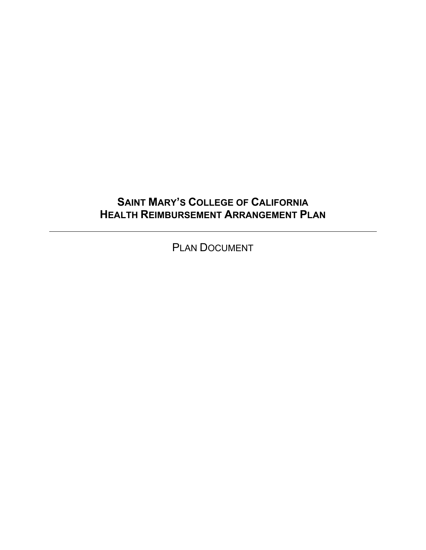## **SAINT MARY'S COLLEGE OF CALIFORNIA HEALTH REIMBURSEMENT ARRANGEMENT PLAN**

PLAN DOCUMENT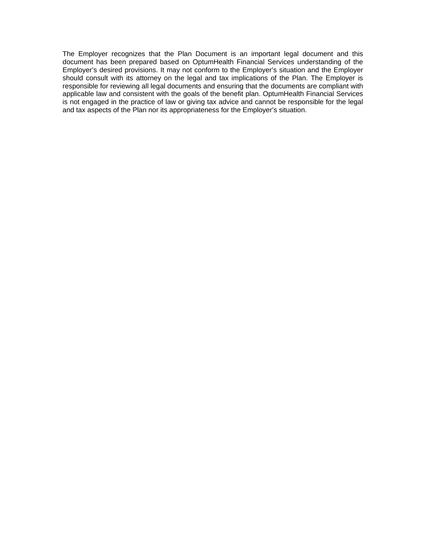The Employer recognizes that the Plan Document is an important legal document and this document has been prepared based on OptumHealth Financial Services understanding of the Employer's desired provisions. It may not conform to the Employer's situation and the Employer should consult with its attorney on the legal and tax implications of the Plan. The Employer is responsible for reviewing all legal documents and ensuring that the documents are compliant with applicable law and consistent with the goals of the benefit plan. OptumHealth Financial Services is not engaged in the practice of law or giving tax advice and cannot be responsible for the legal and tax aspects of the Plan nor its appropriateness for the Employer's situation.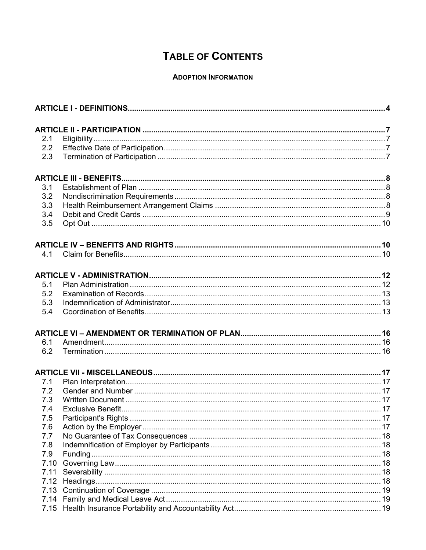# **TABLE OF CONTENTS**

## **ADOPTION INFORMATION**

| 2.1  |  |  |  |  |
|------|--|--|--|--|
| 2.2  |  |  |  |  |
| 2.3  |  |  |  |  |
|      |  |  |  |  |
| 3.1  |  |  |  |  |
| 3.2  |  |  |  |  |
| 3.3  |  |  |  |  |
| 3.4  |  |  |  |  |
| 3.5  |  |  |  |  |
|      |  |  |  |  |
| 4.1  |  |  |  |  |
|      |  |  |  |  |
|      |  |  |  |  |
| 5.1  |  |  |  |  |
| 5.2  |  |  |  |  |
| 5.3  |  |  |  |  |
| 5.4  |  |  |  |  |
|      |  |  |  |  |
| 6.1  |  |  |  |  |
| 6.2  |  |  |  |  |
|      |  |  |  |  |
| 7.1  |  |  |  |  |
| 7.2  |  |  |  |  |
| 7.3  |  |  |  |  |
| 7.4  |  |  |  |  |
| 7.5  |  |  |  |  |
| 7.6  |  |  |  |  |
| 7.7  |  |  |  |  |
| 7.8  |  |  |  |  |
| 7.9  |  |  |  |  |
| 7.10 |  |  |  |  |
| 7.11 |  |  |  |  |
| 7.12 |  |  |  |  |
|      |  |  |  |  |
| 7.13 |  |  |  |  |
| 7.14 |  |  |  |  |
| 7.15 |  |  |  |  |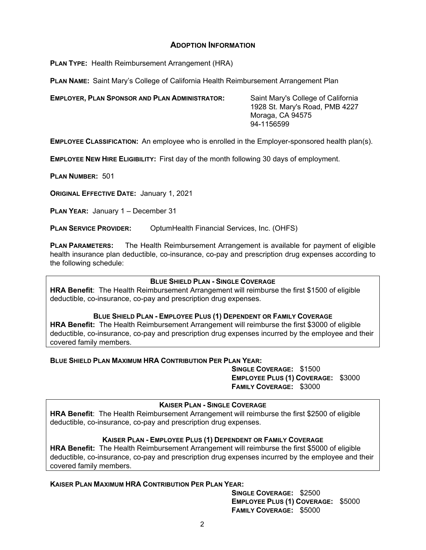## **ADOPTION INFORMATION**

**PLAN TYPE:** Health Reimbursement Arrangement (HRA)

**PLAN NAME:** Saint Mary's College of California Health Reimbursement Arrangement Plan

**EMPLOYER, PLAN SPONSOR AND PLAN ADMINISTRATOR:** Saint Mary's College of California

1928 St. Mary's Road, PMB 4227 Moraga, CA 94575 94-1156599

**EMPLOYEE CLASSIFICATION:** An employee who is enrolled in the Employer-sponsored health plan(s).

**EMPLOYEE NEW HIRE ELIGIBILITY:** First day of the month following 30 days of employment.

**PLAN NUMBER:** 501

**ORIGINAL EFFECTIVE DATE:** January 1, 2021

**PLAN YEAR:** January 1 – December 31

**PLAN SERVICE PROVIDER:** OptumHealth Financial Services, Inc. (OHFS)

**PLAN PARAMETERS:** The Health Reimbursement Arrangement is available for payment of eligible health insurance plan deductible, co-insurance, co-pay and prescription drug expenses according to the following schedule:

#### **BLUE SHIELD PLAN - SINGLE COVERAGE**

**HRA Benefit**: The Health Reimbursement Arrangement will reimburse the first \$1500 of eligible deductible, co-insurance, co-pay and prescription drug expenses.

#### **BLUE SHIELD PLAN - EMPLOYEE PLUS (1) DEPENDENT OR FAMILY COVERAGE**

**HRA Benefit:** The Health Reimbursement Arrangement will reimburse the first \$3000 of eligible deductible, co-insurance, co-pay and prescription drug expenses incurred by the employee and their covered family members.

#### **BLUE SHIELD PLAN MAXIMUM HRA CONTRIBUTION PER PLAN YEAR:**

 **SINGLE COVERAGE:** \$1500 **EMPLOYEE PLUS (1) COVERAGE:** \$3000  **FAMILY COVERAGE:** \$3000

**KAISER PLAN - SINGLE COVERAGE**

**HRA Benefit**: The Health Reimbursement Arrangement will reimburse the first \$2500 of eligible deductible, co-insurance, co-pay and prescription drug expenses.

#### **KAISER PLAN - EMPLOYEE PLUS (1) DEPENDENT OR FAMILY COVERAGE**

**HRA Benefit:** The Health Reimbursement Arrangement will reimburse the first \$5000 of eligible deductible, co-insurance, co-pay and prescription drug expenses incurred by the employee and their covered family members.

#### **KAISER PLAN MAXIMUM HRA CONTRIBUTION PER PLAN YEAR:**

 **SINGLE COVERAGE:** \$2500 **EMPLOYEE PLUS (1) COVERAGE:** \$5000  **FAMILY COVERAGE:** \$5000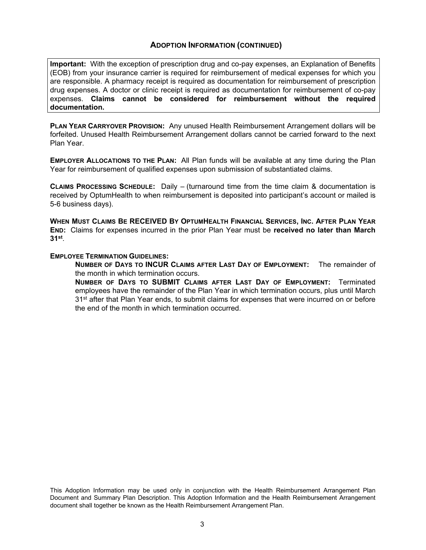## **ADOPTION INFORMATION (CONTINUED)**

**Important:** With the exception of prescription drug and co-pay expenses, an Explanation of Benefits (EOB) from your insurance carrier is required for reimbursement of medical expenses for which you are responsible. A pharmacy receipt is required as documentation for reimbursement of prescription drug expenses. A doctor or clinic receipt is required as documentation for reimbursement of co-pay expenses. **Claims cannot be considered for reimbursement without the required documentation.** 

**PLAN YEAR CARRYOVER PROVISION:** Any unused Health Reimbursement Arrangement dollars will be forfeited. Unused Health Reimbursement Arrangement dollars cannot be carried forward to the next Plan Year.

**EMPLOYER ALLOCATIONS TO THE PLAN:** All Plan funds will be available at any time during the Plan Year for reimbursement of qualified expenses upon submission of substantiated claims.

**CLAIMS PROCESSING SCHEDULE:** Daily – (turnaround time from the time claim & documentation is received by OptumHealth to when reimbursement is deposited into participant's account or mailed is 5-6 business days).

**WHEN MUST CLAIMS BE RECEIVED BY OPTUMHEALTH FINANCIAL SERVICES, INC. AFTER PLAN YEAR END:** Claims for expenses incurred in the prior Plan Year must be **received no later than March 31st**.

#### **EMPLOYEE TERMINATION GUIDELINES:**

**NUMBER OF DAYS TO INCUR CLAIMS AFTER LAST DAY OF EMPLOYMENT:** The remainder of the month in which termination occurs.

**NUMBER OF DAYS TO SUBMIT CLAIMS AFTER LAST DAY OF EMPLOYMENT:** Terminated employees have the remainder of the Plan Year in which termination occurs, plus until March 31<sup>st</sup> after that Plan Year ends, to submit claims for expenses that were incurred on or before the end of the month in which termination occurred.

This Adoption Information may be used only in conjunction with the Health Reimbursement Arrangement Plan Document and Summary Plan Description. This Adoption Information and the Health Reimbursement Arrangement document shall together be known as the Health Reimbursement Arrangement Plan.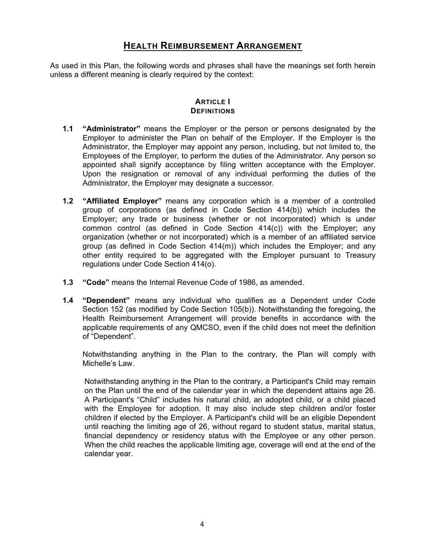## **HEALTH REIMBURSEMENT ARRANGEMENT**

As used in this Plan, the following words and phrases shall have the meanings set forth herein unless a different meaning is clearly required by the context:

## **ARTICLE** I  **DEFINITIONS**

- **1.1 "Administrator"** means the Employer or the person or persons designated by the Employer to administer the Plan on behalf of the Employer. If the Employer is the Administrator, the Employer may appoint any person, including, but not limited to, the Employees of the Employer, to perform the duties of the Administrator. Any person so appointed shall signify acceptance by filing written acceptance with the Employer. Upon the resignation or removal of any individual performing the duties of the Administrator, the Employer may designate a successor.
- **1.2 "Affiliated Employer"** means any corporation which is a member of a controlled group of corporations (as defined in Code Section 414(b)) which includes the Employer; any trade or business (whether or not incorporated) which is under common control (as defined in Code Section 414(c)) with the Employer; any organization (whether or not incorporated) which is a member of an affiliated service group (as defined in Code Section 414(m)) which includes the Employer; and any other entity required to be aggregated with the Employer pursuant to Treasury regulations under Code Section 414(o).
- **1.3 "Code"** means the Internal Revenue Code of 1986, as amended.
- **1.4 "Dependent"** means any individual who qualifies as a Dependent under Code Section 152 (as modified by Code Section 105(b)). Notwithstanding the foregoing, the Health Reimbursement Arrangement will provide benefits in accordance with the applicable requirements of any QMCSO, even if the child does not meet the definition of "Dependent".

Notwithstanding anything in the Plan to the contrary, the Plan will comply with Michelle's Law.

Notwithstanding anything in the Plan to the contrary, a Participant's Child may remain on the Plan until the end of the calendar year in which the dependent attains age 26. A Participant's "Child" includes his natural child, an adopted child, or a child placed with the Employee for adoption. It may also include step children and/or foster children if elected by the Employer. A Participant's child will be an eligible Dependent until reaching the limiting age of 26, without regard to student status, marital status, financial dependency or residency status with the Employee or any other person. When the child reaches the applicable limiting age, coverage will end at the end of the calendar year.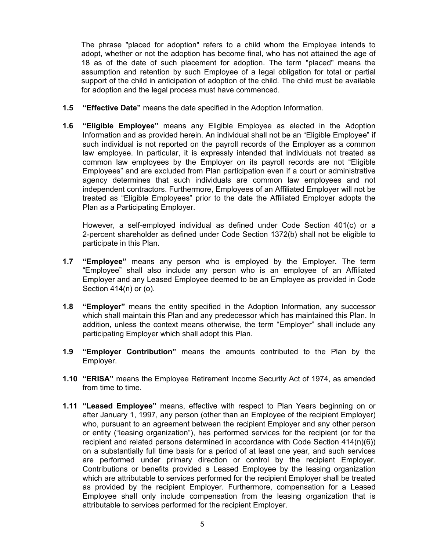The phrase "placed for adoption" refers to a child whom the Employee intends to adopt, whether or not the adoption has become final, who has not attained the age of 18 as of the date of such placement for adoption. The term "placed" means the assumption and retention by such Employee of a legal obligation for total or partial support of the child in anticipation of adoption of the child. The child must be available for adoption and the legal process must have commenced.

- **1.5 "Effective Date"** means the date specified in the Adoption Information.
- **1.6 "Eligible Employee"** means any Eligible Employee as elected in the Adoption Information and as provided herein. An individual shall not be an "Eligible Employee" if such individual is not reported on the payroll records of the Employer as a common law employee. In particular, it is expressly intended that individuals not treated as common law employees by the Employer on its payroll records are not "Eligible Employees" and are excluded from Plan participation even if a court or administrative agency determines that such individuals are common law employees and not independent contractors. Furthermore, Employees of an Affiliated Employer will not be treated as "Eligible Employees" prior to the date the Affiliated Employer adopts the Plan as a Participating Employer.

However, a self-employed individual as defined under Code Section 401(c) or a 2-percent shareholder as defined under Code Section 1372(b) shall not be eligible to participate in this Plan.

- **1.7 "Employee"** means any person who is employed by the Employer. The term "Employee" shall also include any person who is an employee of an Affiliated Employer and any Leased Employee deemed to be an Employee as provided in Code Section 414(n) or (o).
- **1.8 "Employer"** means the entity specified in the Adoption Information, any successor which shall maintain this Plan and any predecessor which has maintained this Plan. In addition, unless the context means otherwise, the term "Employer" shall include any participating Employer which shall adopt this Plan.
- **1.9 "Employer Contribution"** means the amounts contributed to the Plan by the Employer.
- **1.10 "ERISA"** means the Employee Retirement Income Security Act of 1974, as amended from time to time.
- **1.11 "Leased Employee"** means, effective with respect to Plan Years beginning on or after January 1, 1997, any person (other than an Employee of the recipient Employer) who, pursuant to an agreement between the recipient Employer and any other person or entity ("leasing organization"), has performed services for the recipient (or for the recipient and related persons determined in accordance with Code Section 414(n)(6)) on a substantially full time basis for a period of at least one year, and such services are performed under primary direction or control by the recipient Employer. Contributions or benefits provided a Leased Employee by the leasing organization which are attributable to services performed for the recipient Employer shall be treated as provided by the recipient Employer. Furthermore, compensation for a Leased Employee shall only include compensation from the leasing organization that is attributable to services performed for the recipient Employer.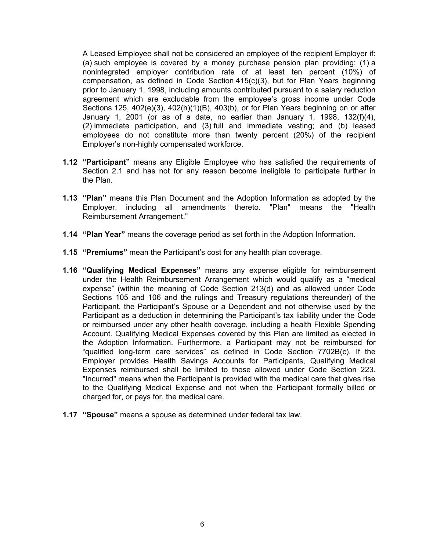A Leased Employee shall not be considered an employee of the recipient Employer if: (a) such employee is covered by a money purchase pension plan providing: (1) a nonintegrated employer contribution rate of at least ten percent (10%) of compensation, as defined in Code Section 415(c)(3), but for Plan Years beginning prior to January 1, 1998, including amounts contributed pursuant to a salary reduction agreement which are excludable from the employee's gross income under Code Sections 125, 402(e)(3), 402(h)(1)(B), 403(b), or for Plan Years beginning on or after January 1, 2001 (or as of a date, no earlier than January 1, 1998, 132(f)(4), (2) immediate participation, and (3) full and immediate vesting; and (b) leased employees do not constitute more than twenty percent (20%) of the recipient Employer's non-highly compensated workforce.

- **1.12 "Participant"** means any Eligible Employee who has satisfied the requirements of Section 2.1 and has not for any reason become ineligible to participate further in the Plan.
- **1.13 "Plan"** means this Plan Document and the Adoption Information as adopted by the Employer, including all amendments thereto. "Plan" means the "Health Reimbursement Arrangement."
- **1.14 "Plan Year"** means the coverage period as set forth in the Adoption Information.
- **1.15 "Premiums"** mean the Participant's cost for any health plan coverage.
- **1.16 "Qualifying Medical Expenses"** means any expense eligible for reimbursement under the Health Reimbursement Arrangement which would qualify as a "medical expense" (within the meaning of Code Section 213(d) and as allowed under Code Sections 105 and 106 and the rulings and Treasury regulations thereunder) of the Participant, the Participant's Spouse or a Dependent and not otherwise used by the Participant as a deduction in determining the Participant's tax liability under the Code or reimbursed under any other health coverage, including a health Flexible Spending Account. Qualifying Medical Expenses covered by this Plan are limited as elected in the Adoption Information. Furthermore, a Participant may not be reimbursed for "qualified long-term care services" as defined in Code Section 7702B(c). If the Employer provides Health Savings Accounts for Participants, Qualifying Medical Expenses reimbursed shall be limited to those allowed under Code Section 223. "Incurred" means when the Participant is provided with the medical care that gives rise to the Qualifying Medical Expense and not when the Participant formally billed or charged for, or pays for, the medical care.
- **1.17 "Spouse"** means a spouse as determined under federal tax law.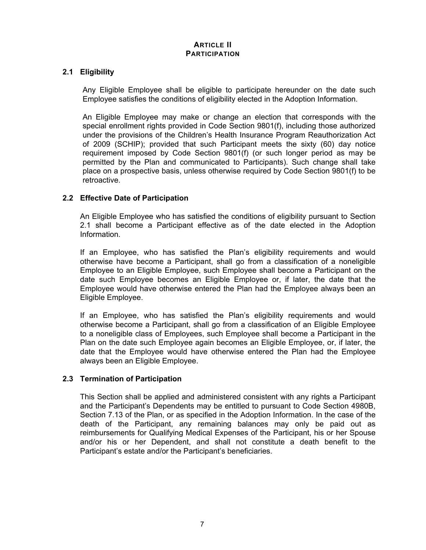## **ARTICLE II PARTICIPATION**

## **2.1 Eligibility**

Any Eligible Employee shall be eligible to participate hereunder on the date such Employee satisfies the conditions of eligibility elected in the Adoption Information.

An Eligible Employee may make or change an election that corresponds with the special enrollment rights provided in Code Section 9801(f), including those authorized under the provisions of the Children's Health Insurance Program Reauthorization Act of 2009 (SCHIP); provided that such Participant meets the sixty (60) day notice requirement imposed by Code Section 9801(f) (or such longer period as may be permitted by the Plan and communicated to Participants). Such change shall take place on a prospective basis, unless otherwise required by Code Section 9801(f) to be retroactive.

## **2.2 Effective Date of Participation**

An Eligible Employee who has satisfied the conditions of eligibility pursuant to Section 2.1 shall become a Participant effective as of the date elected in the Adoption Information.

If an Employee, who has satisfied the Plan's eligibility requirements and would otherwise have become a Participant, shall go from a classification of a noneligible Employee to an Eligible Employee, such Employee shall become a Participant on the date such Employee becomes an Eligible Employee or, if later, the date that the Employee would have otherwise entered the Plan had the Employee always been an Eligible Employee.

If an Employee, who has satisfied the Plan's eligibility requirements and would otherwise become a Participant, shall go from a classification of an Eligible Employee to a noneligible class of Employees, such Employee shall become a Participant in the Plan on the date such Employee again becomes an Eligible Employee, or, if later, the date that the Employee would have otherwise entered the Plan had the Employee always been an Eligible Employee.

## **2.3 Termination of Participation**

This Section shall be applied and administered consistent with any rights a Participant and the Participant's Dependents may be entitled to pursuant to Code Section 4980B, Section 7.13 of the Plan, or as specified in the Adoption Information. In the case of the death of the Participant, any remaining balances may only be paid out as reimbursements for Qualifying Medical Expenses of the Participant, his or her Spouse and/or his or her Dependent, and shall not constitute a death benefit to the Participant's estate and/or the Participant's beneficiaries.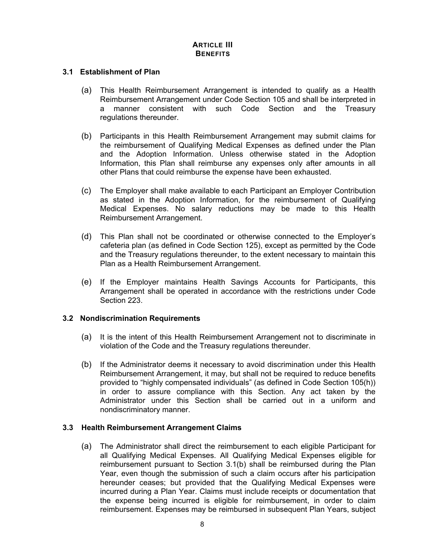## **ARTICLE III BENEFITS**

#### **3.1 Establishment of Plan**

- (a) This Health Reimbursement Arrangement is intended to qualify as a Health Reimbursement Arrangement under Code Section 105 and shall be interpreted in a manner consistent with such Code Section and the Treasury regulations thereunder.
- (b) Participants in this Health Reimbursement Arrangement may submit claims for the reimbursement of Qualifying Medical Expenses as defined under the Plan and the Adoption Information. Unless otherwise stated in the Adoption Information, this Plan shall reimburse any expenses only after amounts in all other Plans that could reimburse the expense have been exhausted.
- (c) The Employer shall make available to each Participant an Employer Contribution as stated in the Adoption Information, for the reimbursement of Qualifying Medical Expenses. No salary reductions may be made to this Health Reimbursement Arrangement.
- (d) This Plan shall not be coordinated or otherwise connected to the Employer's cafeteria plan (as defined in Code Section 125), except as permitted by the Code and the Treasury regulations thereunder, to the extent necessary to maintain this Plan as a Health Reimbursement Arrangement.
- (e) If the Employer maintains Health Savings Accounts for Participants, this Arrangement shall be operated in accordance with the restrictions under Code Section 223.

## **3.2 Nondiscrimination Requirements**

- (a) It is the intent of this Health Reimbursement Arrangement not to discriminate in violation of the Code and the Treasury regulations thereunder.
- (b) If the Administrator deems it necessary to avoid discrimination under this Health Reimbursement Arrangement, it may, but shall not be required to reduce benefits provided to "highly compensated individuals" (as defined in Code Section 105(h)) in order to assure compliance with this Section. Any act taken by the Administrator under this Section shall be carried out in a uniform and nondiscriminatory manner.

## **3.3 Health Reimbursement Arrangement Claims**

(a) The Administrator shall direct the reimbursement to each eligible Participant for all Qualifying Medical Expenses. All Qualifying Medical Expenses eligible for reimbursement pursuant to Section 3.1(b) shall be reimbursed during the Plan Year, even though the submission of such a claim occurs after his participation hereunder ceases; but provided that the Qualifying Medical Expenses were incurred during a Plan Year. Claims must include receipts or documentation that the expense being incurred is eligible for reimbursement, in order to claim reimbursement. Expenses may be reimbursed in subsequent Plan Years, subject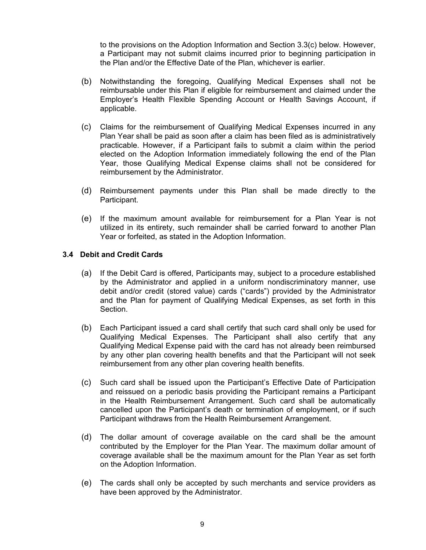to the provisions on the Adoption Information and Section 3.3(c) below. However, a Participant may not submit claims incurred prior to beginning participation in the Plan and/or the Effective Date of the Plan, whichever is earlier.

- (b) Notwithstanding the foregoing, Qualifying Medical Expenses shall not be reimbursable under this Plan if eligible for reimbursement and claimed under the Employer's Health Flexible Spending Account or Health Savings Account, if applicable.
- (c) Claims for the reimbursement of Qualifying Medical Expenses incurred in any Plan Year shall be paid as soon after a claim has been filed as is administratively practicable. However, if a Participant fails to submit a claim within the period elected on the Adoption Information immediately following the end of the Plan Year, those Qualifying Medical Expense claims shall not be considered for reimbursement by the Administrator.
- (d) Reimbursement payments under this Plan shall be made directly to the Participant.
- (e) If the maximum amount available for reimbursement for a Plan Year is not utilized in its entirety, such remainder shall be carried forward to another Plan Year or forfeited, as stated in the Adoption Information.

### **3.4 Debit and Credit Cards**

- (a) If the Debit Card is offered, Participants may, subject to a procedure established by the Administrator and applied in a uniform nondiscriminatory manner, use debit and/or credit (stored value) cards ("cards") provided by the Administrator and the Plan for payment of Qualifying Medical Expenses, as set forth in this Section.
- (b) Each Participant issued a card shall certify that such card shall only be used for Qualifying Medical Expenses. The Participant shall also certify that any Qualifying Medical Expense paid with the card has not already been reimbursed by any other plan covering health benefits and that the Participant will not seek reimbursement from any other plan covering health benefits.
- (c) Such card shall be issued upon the Participant's Effective Date of Participation and reissued on a periodic basis providing the Participant remains a Participant in the Health Reimbursement Arrangement. Such card shall be automatically cancelled upon the Participant's death or termination of employment, or if such Participant withdraws from the Health Reimbursement Arrangement.
- (d) The dollar amount of coverage available on the card shall be the amount contributed by the Employer for the Plan Year. The maximum dollar amount of coverage available shall be the maximum amount for the Plan Year as set forth on the Adoption Information.
- (e) The cards shall only be accepted by such merchants and service providers as have been approved by the Administrator.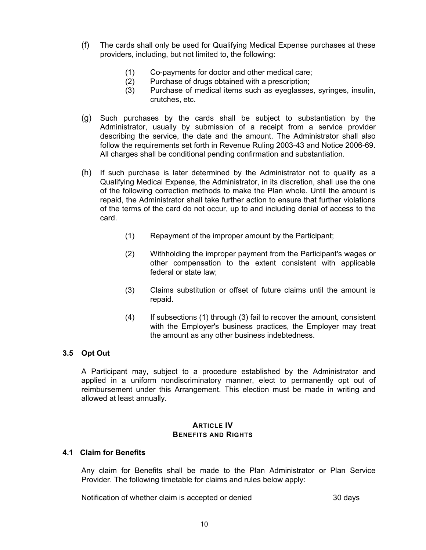- (f) The cards shall only be used for Qualifying Medical Expense purchases at these providers, including, but not limited to, the following:
	- (1) Co-payments for doctor and other medical care;
	- (2) Purchase of drugs obtained with a prescription;
	- (3) Purchase of medical items such as eyeglasses, syringes, insulin, crutches, etc.
- (g) Such purchases by the cards shall be subject to substantiation by the Administrator, usually by submission of a receipt from a service provider describing the service, the date and the amount. The Administrator shall also follow the requirements set forth in Revenue Ruling 2003-43 and Notice 2006-69. All charges shall be conditional pending confirmation and substantiation.
- (h) If such purchase is later determined by the Administrator not to qualify as a Qualifying Medical Expense, the Administrator, in its discretion, shall use the one of the following correction methods to make the Plan whole. Until the amount is repaid, the Administrator shall take further action to ensure that further violations of the terms of the card do not occur, up to and including denial of access to the card.
	- (1) Repayment of the improper amount by the Participant;
	- (2) Withholding the improper payment from the Participant's wages or other compensation to the extent consistent with applicable federal or state law;
	- (3) Claims substitution or offset of future claims until the amount is repaid.
	- (4) If subsections (1) through (3) fail to recover the amount, consistent with the Employer's business practices, the Employer may treat the amount as any other business indebtedness.

## **3.5 Opt Out**

A Participant may, subject to a procedure established by the Administrator and applied in a uniform nondiscriminatory manner, elect to permanently opt out of reimbursement under this Arrangement. This election must be made in writing and allowed at least annually.

#### **ARTICLE IV BENEFITS AND RIGHTS**

## **4.1 Claim for Benefits**

Any claim for Benefits shall be made to the Plan Administrator or Plan Service Provider. The following timetable for claims and rules below apply:

Notification of whether claim is accepted or denied 30 days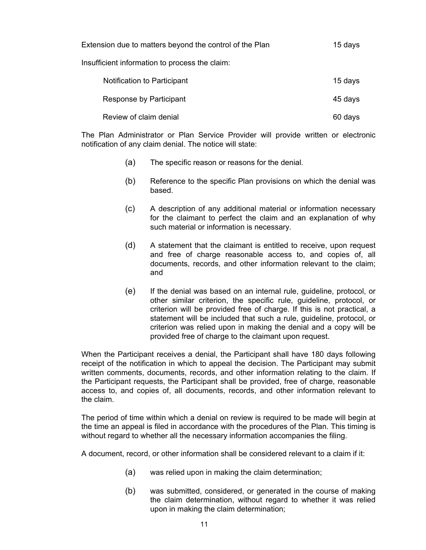| Extension due to matters beyond the control of the Plan |         |  |  |
|---------------------------------------------------------|---------|--|--|
| Insufficient information to process the claim:          |         |  |  |
| Notification to Participant                             | 15 days |  |  |
| Response by Participant                                 | 45 days |  |  |
| Review of claim denial                                  | 60 days |  |  |

The Plan Administrator or Plan Service Provider will provide written or electronic notification of any claim denial. The notice will state:

- (a) The specific reason or reasons for the denial.
- (b) Reference to the specific Plan provisions on which the denial was based.
- (c) A description of any additional material or information necessary for the claimant to perfect the claim and an explanation of why such material or information is necessary.
- (d) A statement that the claimant is entitled to receive, upon request and free of charge reasonable access to, and copies of, all documents, records, and other information relevant to the claim; and
- (e) If the denial was based on an internal rule, guideline, protocol, or other similar criterion, the specific rule, guideline, protocol, or criterion will be provided free of charge. If this is not practical, a statement will be included that such a rule, guideline, protocol, or criterion was relied upon in making the denial and a copy will be provided free of charge to the claimant upon request.

When the Participant receives a denial, the Participant shall have 180 days following receipt of the notification in which to appeal the decision. The Participant may submit written comments, documents, records, and other information relating to the claim. If the Participant requests, the Participant shall be provided, free of charge, reasonable access to, and copies of, all documents, records, and other information relevant to the claim.

The period of time within which a denial on review is required to be made will begin at the time an appeal is filed in accordance with the procedures of the Plan. This timing is without regard to whether all the necessary information accompanies the filing.

A document, record, or other information shall be considered relevant to a claim if it:

- (a) was relied upon in making the claim determination;
- (b) was submitted, considered, or generated in the course of making the claim determination, without regard to whether it was relied upon in making the claim determination;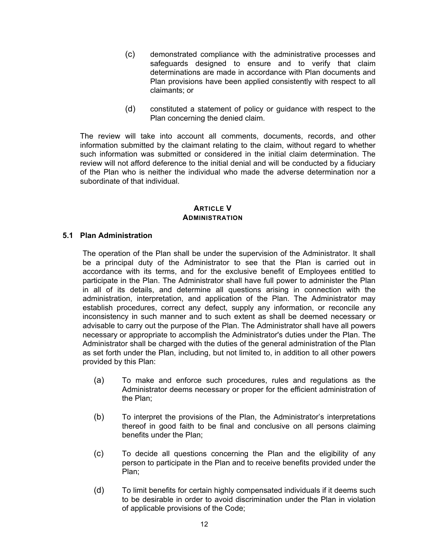- (c) demonstrated compliance with the administrative processes and safeguards designed to ensure and to verify that claim determinations are made in accordance with Plan documents and Plan provisions have been applied consistently with respect to all claimants; or
- (d) constituted a statement of policy or guidance with respect to the Plan concerning the denied claim.

The review will take into account all comments, documents, records, and other information submitted by the claimant relating to the claim, without regard to whether such information was submitted or considered in the initial claim determination. The review will not afford deference to the initial denial and will be conducted by a fiduciary of the Plan who is neither the individual who made the adverse determination nor a subordinate of that individual.

## **ARTICLE V ADMINISTRATION**

## **5.1 Plan Administration**

The operation of the Plan shall be under the supervision of the Administrator. It shall be a principal duty of the Administrator to see that the Plan is carried out in accordance with its terms, and for the exclusive benefit of Employees entitled to participate in the Plan. The Administrator shall have full power to administer the Plan in all of its details, and determine all questions arising in connection with the administration, interpretation, and application of the Plan. The Administrator may establish procedures, correct any defect, supply any information, or reconcile any inconsistency in such manner and to such extent as shall be deemed necessary or advisable to carry out the purpose of the Plan. The Administrator shall have all powers necessary or appropriate to accomplish the Administrator's duties under the Plan. The Administrator shall be charged with the duties of the general administration of the Plan as set forth under the Plan, including, but not limited to, in addition to all other powers provided by this Plan:

- (a) To make and enforce such procedures, rules and regulations as the Administrator deems necessary or proper for the efficient administration of the Plan;
- (b) To interpret the provisions of the Plan, the Administrator's interpretations thereof in good faith to be final and conclusive on all persons claiming benefits under the Plan;
- (c) To decide all questions concerning the Plan and the eligibility of any person to participate in the Plan and to receive benefits provided under the Plan;
- (d) To limit benefits for certain highly compensated individuals if it deems such to be desirable in order to avoid discrimination under the Plan in violation of applicable provisions of the Code;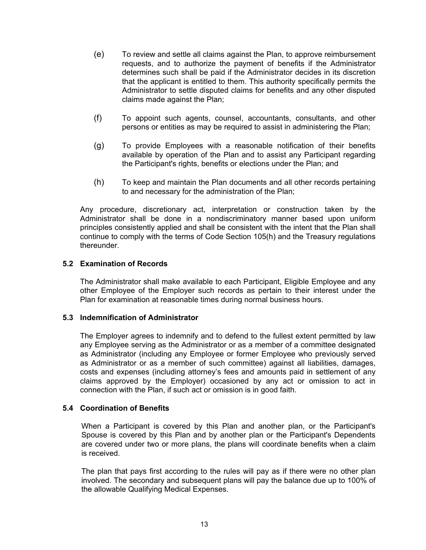- (e) To review and settle all claims against the Plan, to approve reimbursement requests, and to authorize the payment of benefits if the Administrator determines such shall be paid if the Administrator decides in its discretion that the applicant is entitled to them. This authority specifically permits the Administrator to settle disputed claims for benefits and any other disputed claims made against the Plan;
- (f) To appoint such agents, counsel, accountants, consultants, and other persons or entities as may be required to assist in administering the Plan;
- (g) To provide Employees with a reasonable notification of their benefits available by operation of the Plan and to assist any Participant regarding the Participant's rights, benefits or elections under the Plan; and
- (h) To keep and maintain the Plan documents and all other records pertaining to and necessary for the administration of the Plan;

Any procedure, discretionary act, interpretation or construction taken by the Administrator shall be done in a nondiscriminatory manner based upon uniform principles consistently applied and shall be consistent with the intent that the Plan shall continue to comply with the terms of Code Section 105(h) and the Treasury regulations thereunder.

## **5.2 Examination of Records**

The Administrator shall make available to each Participant, Eligible Employee and any other Employee of the Employer such records as pertain to their interest under the Plan for examination at reasonable times during normal business hours.

## **5.3 Indemnification of Administrator**

The Employer agrees to indemnify and to defend to the fullest extent permitted by law any Employee serving as the Administrator or as a member of a committee designated as Administrator (including any Employee or former Employee who previously served as Administrator or as a member of such committee) against all liabilities, damages, costs and expenses (including attorney's fees and amounts paid in settlement of any claims approved by the Employer) occasioned by any act or omission to act in connection with the Plan, if such act or omission is in good faith.

## **5.4 Coordination of Benefits**

When a Participant is covered by this Plan and another plan, or the Participant's Spouse is covered by this Plan and by another plan or the Participant's Dependents are covered under two or more plans, the plans will coordinate benefits when a claim is received.

The plan that pays first according to the rules will pay as if there were no other plan involved. The secondary and subsequent plans will pay the balance due up to 100% of the allowable Qualifying Medical Expenses.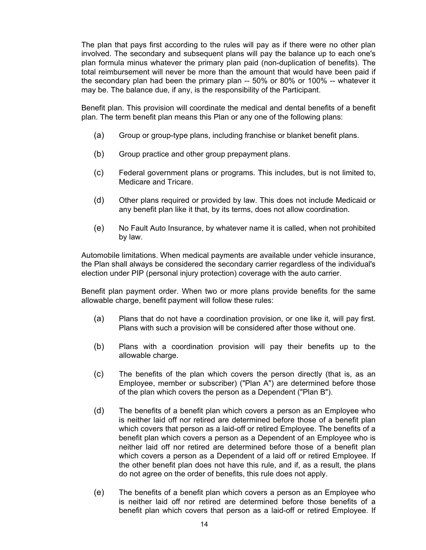The plan that pays first according to the rules will pay as if there were no other plan involved. The secondary and subsequent plans will pay the balance up to each one's plan formula minus whatever the primary plan paid (non-duplication of benefits). The total reimbursement will never be more than the amount that would have been paid if the secondary plan had been the primary plan -- 50% or 80% or 100% -- whatever it may be. The balance due, if any, is the responsibility of the Participant.

Benefit plan. This provision will coordinate the medical and dental benefits of a benefit plan. The term benefit plan means this Plan or any one of the following plans:

- (a) Group or group-type plans, including franchise or blanket benefit plans.
- (b) Group practice and other group prepayment plans.
- (c) Federal government plans or programs. This includes, but is not limited to, Medicare and Tricare.
- (d) Other plans required or provided by law. This does not include Medicaid or any benefit plan like it that, by its terms, does not allow coordination.
- (e) No Fault Auto Insurance, by whatever name it is called, when not prohibited by law.

Automobile limitations. When medical payments are available under vehicle insurance, the Plan shall always be considered the secondary carrier regardless of the individual's election under PIP (personal injury protection) coverage with the auto carrier.

Benefit plan payment order. When two or more plans provide benefits for the same allowable charge, benefit payment will follow these rules:

- (a) Plans that do not have a coordination provision, or one like it, will pay first. Plans with such a provision will be considered after those without one.
- (b) Plans with a coordination provision will pay their benefits up to the allowable charge.
- (c) The benefits of the plan which covers the person directly (that is, as an Employee, member or subscriber) ("Plan A") are determined before those of the plan which covers the person as a Dependent ("Plan B").
- (d) The benefits of a benefit plan which covers a person as an Employee who is neither laid off nor retired are determined before those of a benefit plan which covers that person as a laid-off or retired Employee. The benefits of a benefit plan which covers a person as a Dependent of an Employee who is neither laid off nor retired are determined before those of a benefit plan which covers a person as a Dependent of a laid off or retired Employee. If the other benefit plan does not have this rule, and if, as a result, the plans do not agree on the order of benefits, this rule does not apply.
- (e) The benefits of a benefit plan which covers a person as an Employee who is neither laid off nor retired are determined before those benefits of a benefit plan which covers that person as a laid-off or retired Employee. If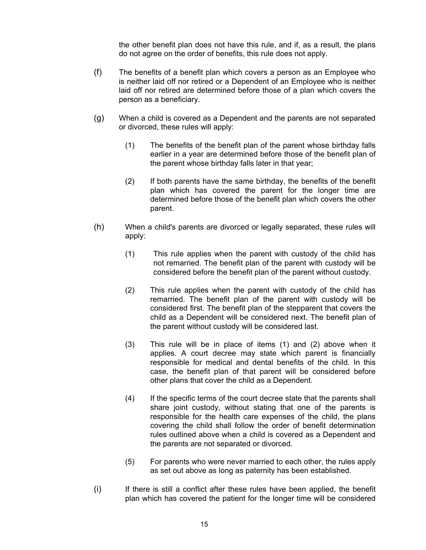the other benefit plan does not have this rule, and if, as a result, the plans do not agree on the order of benefits, this rule does not apply.

- (f) The benefits of a benefit plan which covers a person as an Employee who is neither laid off nor retired or a Dependent of an Employee who is neither laid off nor retired are determined before those of a plan which covers the person as a beneficiary.
- (g) When a child is covered as a Dependent and the parents are not separated or divorced, these rules will apply:
	- (1) The benefits of the benefit plan of the parent whose birthday falls earlier in a year are determined before those of the benefit plan of the parent whose birthday falls later in that year;
	- (2) If both parents have the same birthday, the benefits of the benefit plan which has covered the parent for the longer time are determined before those of the benefit plan which covers the other parent.
- (h) When a child's parents are divorced or legally separated, these rules will apply:
	- (1) This rule applies when the parent with custody of the child has not remarried. The benefit plan of the parent with custody will be considered before the benefit plan of the parent without custody.
	- (2) This rule applies when the parent with custody of the child has remarried. The benefit plan of the parent with custody will be considered first. The benefit plan of the stepparent that covers the child as a Dependent will be considered next. The benefit plan of the parent without custody will be considered last.
	- (3) This rule will be in place of items (1) and (2) above when it applies. A court decree may state which parent is financially responsible for medical and dental benefits of the child. In this case, the benefit plan of that parent will be considered before other plans that cover the child as a Dependent.
	- (4) If the specific terms of the court decree state that the parents shall share joint custody, without stating that one of the parents is responsible for the health care expenses of the child, the plans covering the child shall follow the order of benefit determination rules outlined above when a child is covered as a Dependent and the parents are not separated or divorced.
	- (5) For parents who were never married to each other, the rules apply as set out above as long as paternity has been established.
- (i) If there is still a conflict after these rules have been applied, the benefit plan which has covered the patient for the longer time will be considered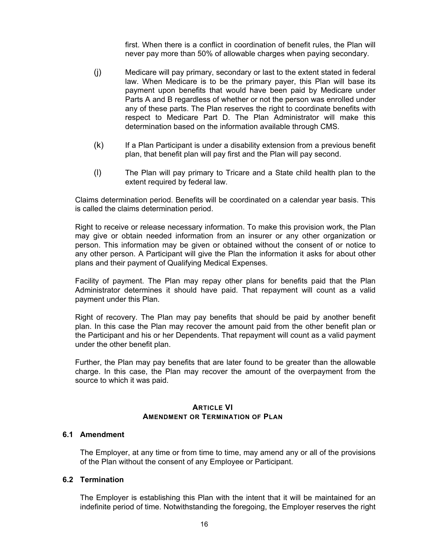first. When there is a conflict in coordination of benefit rules, the Plan will never pay more than 50% of allowable charges when paying secondary.

- (j) Medicare will pay primary, secondary or last to the extent stated in federal law. When Medicare is to be the primary payer, this Plan will base its payment upon benefits that would have been paid by Medicare under Parts A and B regardless of whether or not the person was enrolled under any of these parts. The Plan reserves the right to coordinate benefits with respect to Medicare Part D. The Plan Administrator will make this determination based on the information available through CMS.
- (k) If a Plan Participant is under a disability extension from a previous benefit plan, that benefit plan will pay first and the Plan will pay second.
- (l) The Plan will pay primary to Tricare and a State child health plan to the extent required by federal law.

Claims determination period. Benefits will be coordinated on a calendar year basis. This is called the claims determination period.

Right to receive or release necessary information. To make this provision work, the Plan may give or obtain needed information from an insurer or any other organization or person. This information may be given or obtained without the consent of or notice to any other person. A Participant will give the Plan the information it asks for about other plans and their payment of Qualifying Medical Expenses.

Facility of payment. The Plan may repay other plans for benefits paid that the Plan Administrator determines it should have paid. That repayment will count as a valid payment under this Plan.

Right of recovery. The Plan may pay benefits that should be paid by another benefit plan. In this case the Plan may recover the amount paid from the other benefit plan or the Participant and his or her Dependents. That repayment will count as a valid payment under the other benefit plan.

Further, the Plan may pay benefits that are later found to be greater than the allowable charge. In this case, the Plan may recover the amount of the overpayment from the source to which it was paid.

#### **ARTICLE VI AMENDMENT OR TERMINATION OF PLAN**

#### **6.1 Amendment**

The Employer, at any time or from time to time, may amend any or all of the provisions of the Plan without the consent of any Employee or Participant.

#### **6.2 Termination**

The Employer is establishing this Plan with the intent that it will be maintained for an indefinite period of time. Notwithstanding the foregoing, the Employer reserves the right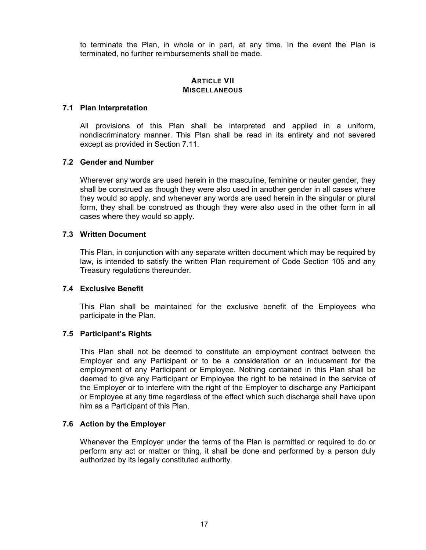to terminate the Plan, in whole or in part, at any time. In the event the Plan is terminated, no further reimbursements shall be made.

## **ARTICLE VII MISCELLANEOUS**

### **7.1 Plan Interpretation**

All provisions of this Plan shall be interpreted and applied in a uniform, nondiscriminatory manner. This Plan shall be read in its entirety and not severed except as provided in Section 7.11.

### **7.2 Gender and Number**

Wherever any words are used herein in the masculine, feminine or neuter gender, they shall be construed as though they were also used in another gender in all cases where they would so apply, and whenever any words are used herein in the singular or plural form, they shall be construed as though they were also used in the other form in all cases where they would so apply.

### **7.3 Written Document**

This Plan, in conjunction with any separate written document which may be required by law, is intended to satisfy the written Plan requirement of Code Section 105 and any Treasury regulations thereunder.

## **7.4 Exclusive Benefit**

This Plan shall be maintained for the exclusive benefit of the Employees who participate in the Plan.

## **7.5 Participant's Rights**

This Plan shall not be deemed to constitute an employment contract between the Employer and any Participant or to be a consideration or an inducement for the employment of any Participant or Employee. Nothing contained in this Plan shall be deemed to give any Participant or Employee the right to be retained in the service of the Employer or to interfere with the right of the Employer to discharge any Participant or Employee at any time regardless of the effect which such discharge shall have upon him as a Participant of this Plan.

## **7.6 Action by the Employer**

Whenever the Employer under the terms of the Plan is permitted or required to do or perform any act or matter or thing, it shall be done and performed by a person duly authorized by its legally constituted authority.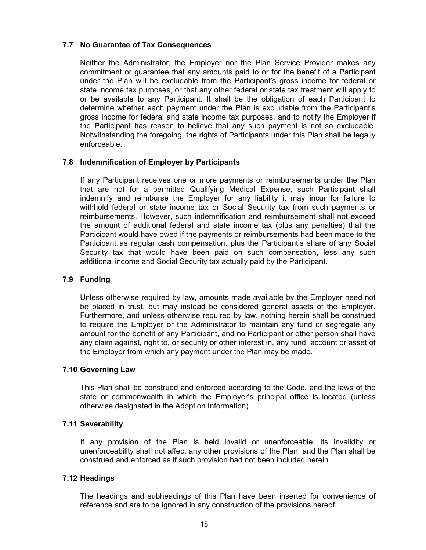## **7.7 No Guarantee of Tax Consequences**

Neither the Administrator, the Employer nor the Plan Service Provider makes any commitment or guarantee that any amounts paid to or for the benefit of a Participant under the Plan will be excludable from the Participant's gross income for federal or state income tax purposes, or that any other federal or state tax treatment will apply to or be available to any Participant. It shall be the obligation of each Participant to determine whether each payment under the Plan is excludable from the Participant's gross income for federal and state income tax purposes, and to notify the Employer if the Participant has reason to believe that any such payment is not so excludable. Notwithstanding the foregoing, the rights of Participants under this Plan shall be legally enforceable.

## **7.8 Indemnification of Employer by Participants**

If any Participant receives one or more payments or reimbursements under the Plan that are not for a permitted Qualifying Medical Expense, such Participant shall indemnify and reimburse the Employer for any liability it may incur for failure to withhold federal or state income tax or Social Security tax from such payments or reimbursements. However, such indemnification and reimbursement shall not exceed the amount of additional federal and state income tax (plus any penalties) that the Participant would have owed if the payments or reimbursements had been made to the Participant as regular cash compensation, plus the Participant's share of any Social Security tax that would have been paid on such compensation, less any such additional income and Social Security tax actually paid by the Participant.

## **7.9 Funding**

Unless otherwise required by law, amounts made available by the Employer need not be placed in trust, but may instead be considered general assets of the Employer. Furthermore, and unless otherwise required by law, nothing herein shall be construed to require the Employer or the Administrator to maintain any fund or segregate any amount for the benefit of any Participant, and no Participant or other person shall have any claim against, right to, or security or other interest in, any fund, account or asset of the Employer from which any payment under the Plan may be made.

## **7.10 Governing Law**

This Plan shall be construed and enforced according to the Code, and the laws of the state or commonwealth in which the Employer's principal office is located (unless otherwise designated in the Adoption Information).

## **7.11 Severability**

If any provision of the Plan is held invalid or unenforceable, its invalidity or unenforceability shall not affect any other provisions of the Plan, and the Plan shall be construed and enforced as if such provision had not been included herein.

#### **7.12 Headings**

The headings and subheadings of this Plan have been inserted for convenience of reference and are to be ignored in any construction of the provisions hereof.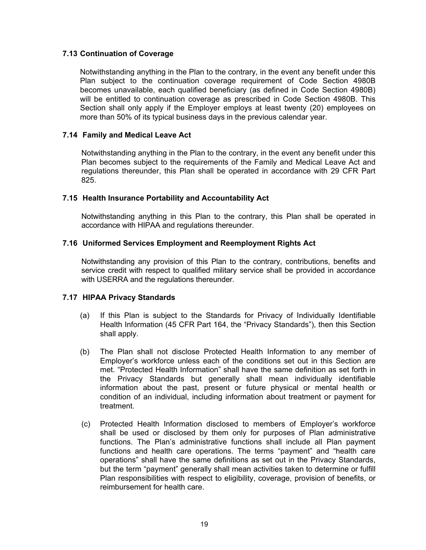## **7.13 Continuation of Coverage**

Notwithstanding anything in the Plan to the contrary, in the event any benefit under this Plan subject to the continuation coverage requirement of Code Section 4980B becomes unavailable, each qualified beneficiary (as defined in Code Section 4980B) will be entitled to continuation coverage as prescribed in Code Section 4980B. This Section shall only apply if the Employer employs at least twenty (20) employees on more than 50% of its typical business days in the previous calendar year.

## **7.14 Family and Medical Leave Act**

Notwithstanding anything in the Plan to the contrary, in the event any benefit under this Plan becomes subject to the requirements of the Family and Medical Leave Act and regulations thereunder, this Plan shall be operated in accordance with 29 CFR Part 825.

## **7.15 Health Insurance Portability and Accountability Act**

Notwithstanding anything in this Plan to the contrary, this Plan shall be operated in accordance with HIPAA and regulations thereunder.

## **7.16 Uniformed Services Employment and Reemployment Rights Act**

Notwithstanding any provision of this Plan to the contrary, contributions, benefits and service credit with respect to qualified military service shall be provided in accordance with USERRA and the regulations thereunder.

## **7.17 HIPAA Privacy Standards**

- (a) If this Plan is subject to the Standards for Privacy of Individually Identifiable Health Information (45 CFR Part 164, the "Privacy Standards"), then this Section shall apply.
- (b) The Plan shall not disclose Protected Health Information to any member of Employer's workforce unless each of the conditions set out in this Section are met. "Protected Health Information" shall have the same definition as set forth in the Privacy Standards but generally shall mean individually identifiable information about the past, present or future physical or mental health or condition of an individual, including information about treatment or payment for treatment.
- (c) Protected Health Information disclosed to members of Employer's workforce shall be used or disclosed by them only for purposes of Plan administrative functions. The Plan's administrative functions shall include all Plan payment functions and health care operations. The terms "payment" and "health care operations" shall have the same definitions as set out in the Privacy Standards, but the term "payment" generally shall mean activities taken to determine or fulfill Plan responsibilities with respect to eligibility, coverage, provision of benefits, or reimbursement for health care.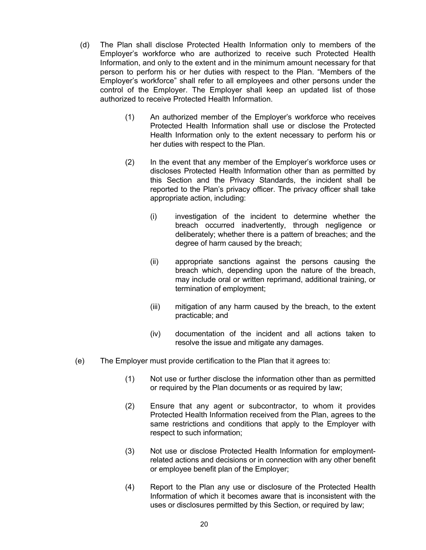- (d) The Plan shall disclose Protected Health Information only to members of the Employer's workforce who are authorized to receive such Protected Health Information, and only to the extent and in the minimum amount necessary for that person to perform his or her duties with respect to the Plan. "Members of the Employer's workforce" shall refer to all employees and other persons under the control of the Employer. The Employer shall keep an updated list of those authorized to receive Protected Health Information.
	- (1) An authorized member of the Employer's workforce who receives Protected Health Information shall use or disclose the Protected Health Information only to the extent necessary to perform his or her duties with respect to the Plan.
	- (2) In the event that any member of the Employer's workforce uses or discloses Protected Health Information other than as permitted by this Section and the Privacy Standards, the incident shall be reported to the Plan's privacy officer. The privacy officer shall take appropriate action, including:
		- (i) investigation of the incident to determine whether the breach occurred inadvertently, through negligence or deliberately; whether there is a pattern of breaches; and the degree of harm caused by the breach;
		- (ii) appropriate sanctions against the persons causing the breach which, depending upon the nature of the breach, may include oral or written reprimand, additional training, or termination of employment;
		- (iii) mitigation of any harm caused by the breach, to the extent practicable; and
		- (iv) documentation of the incident and all actions taken to resolve the issue and mitigate any damages.
- (e) The Employer must provide certification to the Plan that it agrees to:
	- (1) Not use or further disclose the information other than as permitted or required by the Plan documents or as required by law;
	- (2) Ensure that any agent or subcontractor, to whom it provides Protected Health Information received from the Plan, agrees to the same restrictions and conditions that apply to the Employer with respect to such information;
	- (3) Not use or disclose Protected Health Information for employmentrelated actions and decisions or in connection with any other benefit or employee benefit plan of the Employer;
	- (4) Report to the Plan any use or disclosure of the Protected Health Information of which it becomes aware that is inconsistent with the uses or disclosures permitted by this Section, or required by law;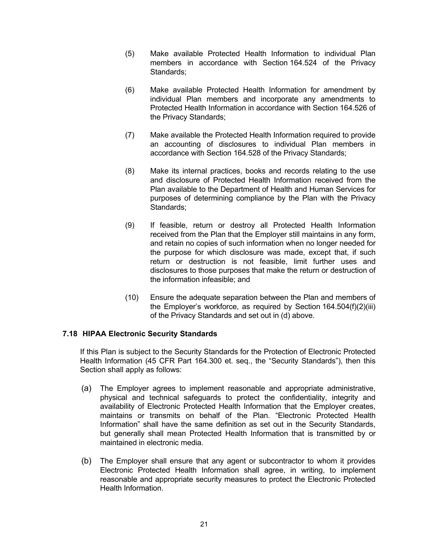- (5) Make available Protected Health Information to individual Plan members in accordance with Section 164.524 of the Privacy Standards;
- (6) Make available Protected Health Information for amendment by individual Plan members and incorporate any amendments to Protected Health Information in accordance with Section 164.526 of the Privacy Standards;
- (7) Make available the Protected Health Information required to provide an accounting of disclosures to individual Plan members in accordance with Section 164.528 of the Privacy Standards;
- (8) Make its internal practices, books and records relating to the use and disclosure of Protected Health Information received from the Plan available to the Department of Health and Human Services for purposes of determining compliance by the Plan with the Privacy Standards;
- (9) If feasible, return or destroy all Protected Health Information received from the Plan that the Employer still maintains in any form, and retain no copies of such information when no longer needed for the purpose for which disclosure was made, except that, if such return or destruction is not feasible, limit further uses and disclosures to those purposes that make the return or destruction of the information infeasible; and
- (10) Ensure the adequate separation between the Plan and members of the Employer's workforce, as required by Section 164.504(f)(2)(iii) of the Privacy Standards and set out in (d) above.

## **7.18 HIPAA Electronic Security Standards**

If this Plan is subject to the Security Standards for the Protection of Electronic Protected Health Information (45 CFR Part 164.300 et. seq., the "Security Standards"), then this Section shall apply as follows:

- (a) The Employer agrees to implement reasonable and appropriate administrative, physical and technical safeguards to protect the confidentiality, integrity and availability of Electronic Protected Health Information that the Employer creates, maintains or transmits on behalf of the Plan. "Electronic Protected Health Information" shall have the same definition as set out in the Security Standards, but generally shall mean Protected Health Information that is transmitted by or maintained in electronic media.
- (b) The Employer shall ensure that any agent or subcontractor to whom it provides Electronic Protected Health Information shall agree, in writing, to implement reasonable and appropriate security measures to protect the Electronic Protected Health Information.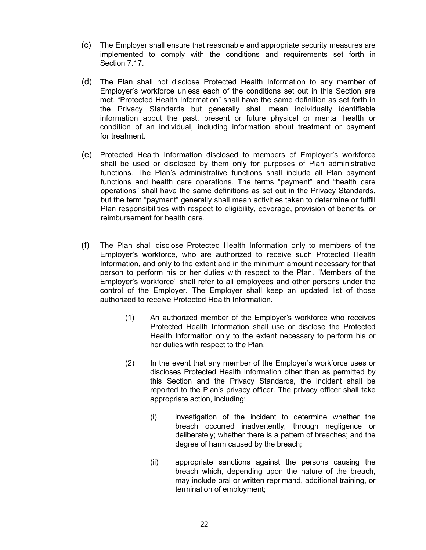- (c) The Employer shall ensure that reasonable and appropriate security measures are implemented to comply with the conditions and requirements set forth in Section 7.17.
- (d) The Plan shall not disclose Protected Health Information to any member of Employer's workforce unless each of the conditions set out in this Section are met. "Protected Health Information" shall have the same definition as set forth in the Privacy Standards but generally shall mean individually identifiable information about the past, present or future physical or mental health or condition of an individual, including information about treatment or payment for treatment.
- (e) Protected Health Information disclosed to members of Employer's workforce shall be used or disclosed by them only for purposes of Plan administrative functions. The Plan's administrative functions shall include all Plan payment functions and health care operations. The terms "payment" and "health care operations" shall have the same definitions as set out in the Privacy Standards, but the term "payment" generally shall mean activities taken to determine or fulfill Plan responsibilities with respect to eligibility, coverage, provision of benefits, or reimbursement for health care.
- (f) The Plan shall disclose Protected Health Information only to members of the Employer's workforce, who are authorized to receive such Protected Health Information, and only to the extent and in the minimum amount necessary for that person to perform his or her duties with respect to the Plan. "Members of the Employer's workforce" shall refer to all employees and other persons under the control of the Employer. The Employer shall keep an updated list of those authorized to receive Protected Health Information.
	- (1) An authorized member of the Employer's workforce who receives Protected Health Information shall use or disclose the Protected Health Information only to the extent necessary to perform his or her duties with respect to the Plan.
	- (2) In the event that any member of the Employer's workforce uses or discloses Protected Health Information other than as permitted by this Section and the Privacy Standards, the incident shall be reported to the Plan's privacy officer. The privacy officer shall take appropriate action, including:
		- (i) investigation of the incident to determine whether the breach occurred inadvertently, through negligence or deliberately; whether there is a pattern of breaches; and the degree of harm caused by the breach;
		- (ii) appropriate sanctions against the persons causing the breach which, depending upon the nature of the breach, may include oral or written reprimand, additional training, or termination of employment;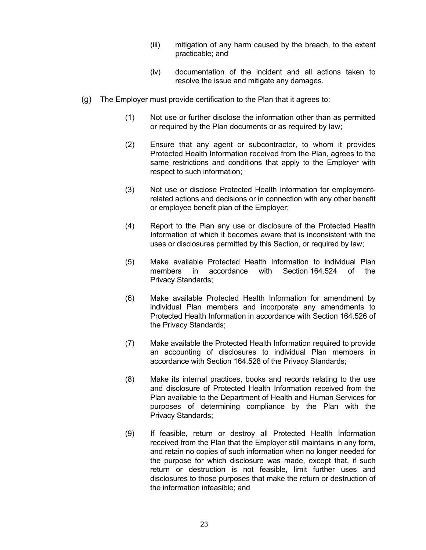- (iii) mitigation of any harm caused by the breach, to the extent practicable; and
- (iv) documentation of the incident and all actions taken to resolve the issue and mitigate any damages.
- (g) The Employer must provide certification to the Plan that it agrees to:
	- (1) Not use or further disclose the information other than as permitted or required by the Plan documents or as required by law;
	- (2) Ensure that any agent or subcontractor, to whom it provides Protected Health Information received from the Plan, agrees to the same restrictions and conditions that apply to the Employer with respect to such information;
	- (3) Not use or disclose Protected Health Information for employmentrelated actions and decisions or in connection with any other benefit or employee benefit plan of the Employer;
	- (4) Report to the Plan any use or disclosure of the Protected Health Information of which it becomes aware that is inconsistent with the uses or disclosures permitted by this Section, or required by law;
	- (5) Make available Protected Health Information to individual Plan members in accordance with Section 164.524 of the Privacy Standards;
	- (6) Make available Protected Health Information for amendment by individual Plan members and incorporate any amendments to Protected Health Information in accordance with Section 164.526 of the Privacy Standards;
	- (7) Make available the Protected Health Information required to provide an accounting of disclosures to individual Plan members in accordance with Section 164.528 of the Privacy Standards;
	- (8) Make its internal practices, books and records relating to the use and disclosure of Protected Health Information received from the Plan available to the Department of Health and Human Services for purposes of determining compliance by the Plan with the Privacy Standards;
	- (9) If feasible, return or destroy all Protected Health Information received from the Plan that the Employer still maintains in any form, and retain no copies of such information when no longer needed for the purpose for which disclosure was made, except that, if such return or destruction is not feasible, limit further uses and disclosures to those purposes that make the return or destruction of the information infeasible; and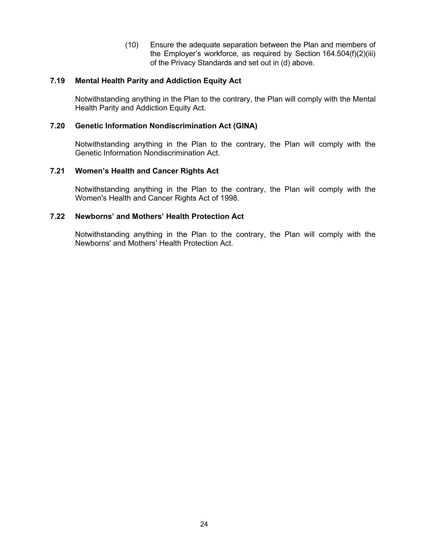(10) Ensure the adequate separation between the Plan and members of the Employer's workforce, as required by Section 164.504(f)(2)(iii) of the Privacy Standards and set out in (d) above.

## **7.19 Mental Health Parity and Addiction Equity Act**

Notwithstanding anything in the Plan to the contrary, the Plan will comply with the Mental Health Parity and Addiction Equity Act.

## **7.20 Genetic Information Nondiscrimination Act (GINA)**

Notwithstanding anything in the Plan to the contrary, the Plan will comply with the Genetic Information Nondiscrimination Act.

### **7.21 Women's Health and Cancer Rights Act**

Notwithstanding anything in the Plan to the contrary, the Plan will comply with the Women's Health and Cancer Rights Act of 1998.

## **7.22 Newborns' and Mothers' Health Protection Act**

Notwithstanding anything in the Plan to the contrary, the Plan will comply with the Newborns' and Mothers' Health Protection Act.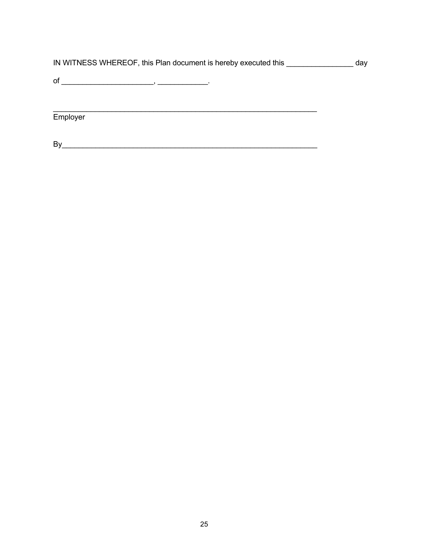|  | IN WITNESS WHEREOF, this Plan document is hereby executed this | day |
|--|----------------------------------------------------------------|-----|
|--|----------------------------------------------------------------|-----|

Employer